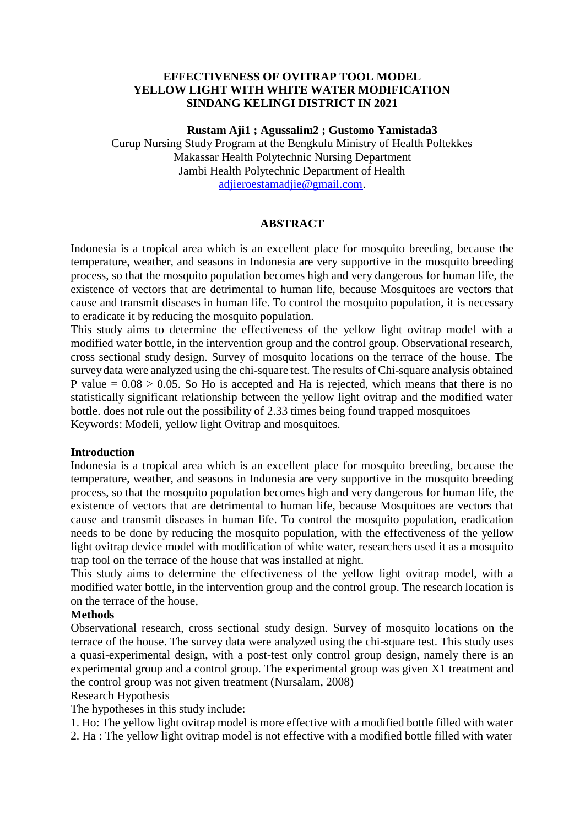### **EFFECTIVENESS OF OVITRAP TOOL MODEL YELLOW LIGHT WITH WHITE WATER MODIFICATION SINDANG KELINGI DISTRICT IN 2021**

#### **Rustam Aji1 ; Agussalim2 ; Gustomo Yamistada3**

Curup Nursing Study Program at the Bengkulu Ministry of Health Poltekkes Makassar Health Polytechnic Nursing Department Jambi Health Polytechnic Department of Health [adjieroestamadjie@gmail.com.](mailto:adjieroestamadjie@gmail.com)

#### **ABSTRACT**

Indonesia is a tropical area which is an excellent place for mosquito breeding, because the temperature, weather, and seasons in Indonesia are very supportive in the mosquito breeding process, so that the mosquito population becomes high and very dangerous for human life, the existence of vectors that are detrimental to human life, because Mosquitoes are vectors that cause and transmit diseases in human life. To control the mosquito population, it is necessary to eradicate it by reducing the mosquito population.

This study aims to determine the effectiveness of the yellow light ovitrap model with a modified water bottle, in the intervention group and the control group. Observational research, cross sectional study design. Survey of mosquito locations on the terrace of the house. The survey data were analyzed using the chi-square test. The results of Chi-square analysis obtained P value  $= 0.08 > 0.05$ . So Ho is accepted and Ha is rejected, which means that there is no statistically significant relationship between the yellow light ovitrap and the modified water bottle. does not rule out the possibility of 2.33 times being found trapped mosquitoes Keywords: Modeli, yellow light Ovitrap and mosquitoes.

#### **Introduction**

Indonesia is a tropical area which is an excellent place for mosquito breeding, because the temperature, weather, and seasons in Indonesia are very supportive in the mosquito breeding process, so that the mosquito population becomes high and very dangerous for human life, the existence of vectors that are detrimental to human life, because Mosquitoes are vectors that cause and transmit diseases in human life. To control the mosquito population, eradication needs to be done by reducing the mosquito population, with the effectiveness of the yellow light ovitrap device model with modification of white water, researchers used it as a mosquito trap tool on the terrace of the house that was installed at night.

This study aims to determine the effectiveness of the yellow light ovitrap model, with a modified water bottle, in the intervention group and the control group. The research location is on the terrace of the house,

#### **Methods**

Observational research, cross sectional study design. Survey of mosquito locations on the terrace of the house. The survey data were analyzed using the chi-square test. This study uses a quasi-experimental design, with a post-test only control group design, namely there is an experimental group and a control group. The experimental group was given X1 treatment and the control group was not given treatment (Nursalam, 2008)

## Research Hypothesis

The hypotheses in this study include:

1. Ho: The yellow light ovitrap model is more effective with a modified bottle filled with water 2. Ha : The yellow light ovitrap model is not effective with a modified bottle filled with water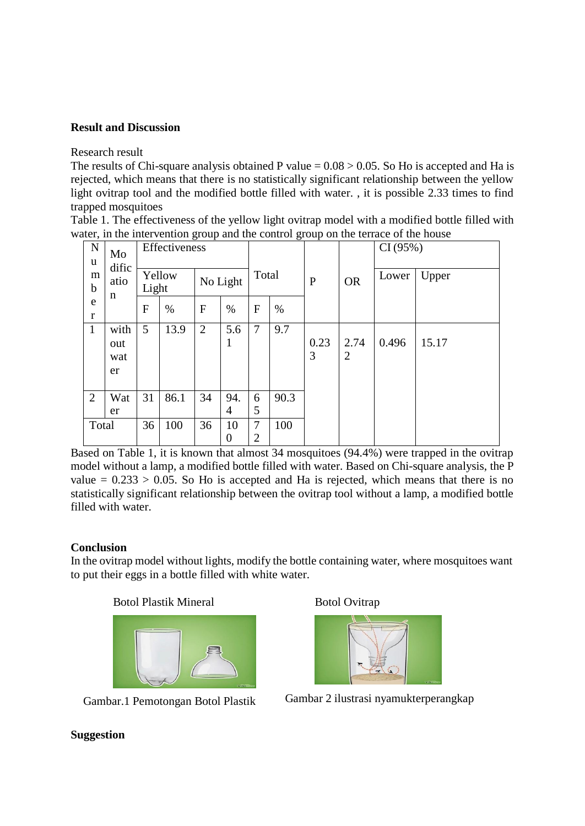## **Result and Discussion**

Research result

The results of Chi-square analysis obtained P value  $= 0.08 > 0.05$ . So Ho is accepted and Ha is rejected, which means that there is no statistically significant relationship between the yellow light ovitrap tool and the modified bottle filled with water. , it is possible 2.33 times to find trapped mosquitoes

Table 1. The effectiveness of the yellow light ovitrap model with a modified bottle filled with water, in the intervention group and the control group on the terrace of the house

| $\mathbf N$<br>u<br>m<br>$\mathbf b$ | Mo<br>dific<br>atio      | Effectiveness<br>Yellow<br>Light |      | No Light       |                        | ັ<br>Total          |      | $\mathbf{r}$<br>$\mathbf{P}$ | <b>OR</b>              | CI(95%)<br>Upper<br>Lower |       |
|--------------------------------------|--------------------------|----------------------------------|------|----------------|------------------------|---------------------|------|------------------------------|------------------------|---------------------------|-------|
| e<br>r                               | n                        | $\mathbf{F}$                     | $\%$ | F              | $\%$                   | $\overline{F}$      | $\%$ |                              |                        |                           |       |
| $\mathbf{1}$                         | with<br>out<br>wat<br>er | 5                                | 13.9 | $\overline{2}$ | 5.6<br>1               | 7                   | 9.7  | 0.23<br>3                    | 2.74<br>$\overline{2}$ | 0.496                     | 15.17 |
| $\overline{2}$                       | Wat<br>er                | 31                               | 86.1 | 34             | 94.<br>4               | 6<br>5              | 90.3 |                              |                        |                           |       |
| Total                                |                          | 36                               | 100  | 36             | 10<br>$\boldsymbol{0}$ | 7<br>$\overline{2}$ | 100  |                              |                        |                           |       |

Based on Table 1, it is known that almost 34 mosquitoes (94.4%) were trapped in the ovitrap model without a lamp, a modified bottle filled with water. Based on Chi-square analysis, the P value  $= 0.233 > 0.05$ . So Ho is accepted and Ha is rejected, which means that there is no statistically significant relationship between the ovitrap tool without a lamp, a modified bottle filled with water.

# **Conclusion**

In the ovitrap model without lights, modify the bottle containing water, where mosquitoes want to put their eggs in a bottle filled with white water.

Botol Plastik Mineral



Gambar.1 Pemotongan Botol Plastik

Botol Ovitrap



Gambar 2 ilustrasi nyamukterperangkap

#### **Suggestion**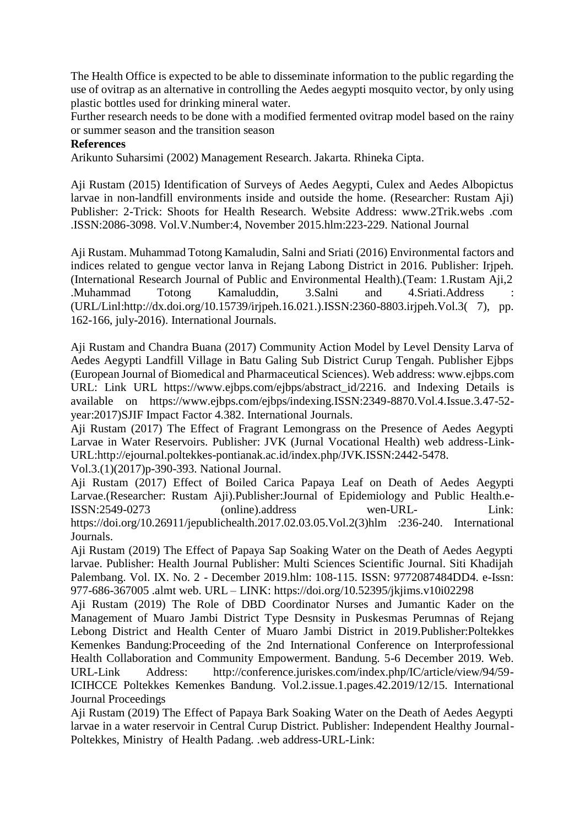The Health Office is expected to be able to disseminate information to the public regarding the use of ovitrap as an alternative in controlling the Aedes aegypti mosquito vector, by only using plastic bottles used for drinking mineral water.

Further research needs to be done with a modified fermented ovitrap model based on the rainy or summer season and the transition season

### **References**

Arikunto Suharsimi (2002) Management Research. Jakarta. Rhineka Cipta.

Aji Rustam (2015) Identification of Surveys of Aedes Aegypti, Culex and Aedes Albopictus larvae in non-landfill environments inside and outside the home. (Researcher: Rustam Aji) Publisher: 2-Trick: Shoots for Health Research. Website Address: [www.2Trik.webs](http://www.2trik.webs/) .com .ISSN:2086-3098. Vol.V.Number:4, November 2015.hlm:223-229. National Journal

Aji Rustam. Muhammad Totong Kamaludin, Salni and Sriati (2016) Environmental factors and indices related to gengue vector lanva in Rejang Labong District in 2016. Publisher: Irjpeh. (International Research Journal of Public and Environmental Health).(Team: 1.Rustam Aji,2 .Muhammad Totong Kamaluddin, 3.Salni and 4.Sriati.Address : (URL/Linl:http://dx.doi.org/10.15739/irjpeh.16.021.).ISSN:2360-8803.irjpeh.Vol.3( 7), pp. 162-166, july-2016). International Journals.

Aji Rustam and Chandra Buana (2017) Community Action Model by Level Density Larva of Aedes Aegypti Landfill Village in Batu Galing Sub District Curup Tengah. Publisher Ejbps (European Journal of Biomedical and Pharmaceutical Sciences). Web address: [www.ejbps.com](http://www.ejbps.com/) URL: Link URL https:[//www.ejbps.com/ejbps/abstract\\_id/2216.](http://www.ejbps.com/ejbps/abstract_id/2216) and Indexing Details is available on https://www.ejbps.com/ejbps/indexing.ISSN:2349-8870.Vol.4.Issue.3.47-52 year:2017)SJIF Impact Factor 4.382. International Journals.

Aji Rustam (2017) The Effect of Fragrant Lemongrass on the Presence of Aedes Aegypti Larvae in Water Reservoirs. Publisher: JVK (Jurnal Vocational Health) web address-Link-URL:http://ejournal.poltekkes-pontianak.ac.id/index.php/JVK.ISSN:2442-5478.

Vol.3.(1)(2017)p-390-393. National Journal.

Aji Rustam (2017) Effect of Boiled Carica Papaya Leaf on Death of Aedes Aegypti Larvae.(Researcher: Rustam Aji).Publisher:Journal of Epidemiology and Public Health.e-ISSN:2549-0273 (online).address wen-URL- Link: https://doi.org/10.26911/jepublichealth.2017.02.03.05.Vol.2(3)hlm :236-240. International Journals.

Aji Rustam (2019) The Effect of Papaya Sap Soaking Water on the Death of Aedes Aegypti larvae. Publisher: Health Journal Publisher: Multi Sciences Scientific Journal. Siti Khadijah Palembang. Vol. IX. No. 2 - December 2019.hlm: 108-115. ISSN: 9772087484DD4. e-Issn: 977-686-367005 .almt web. URL – LINK: https://doi.org/10.52395/jkjims.v10i02298

Aji Rustam (2019) The Role of DBD Coordinator Nurses and Jumantic Kader on the Management of Muaro Jambi District Type Desnsity in Puskesmas Perumnas of Rejang Lebong District and Health Center of Muaro Jambi District in 2019.Publisher:Poltekkes Kemenkes Bandung:Proceeding of the 2nd International Conference on Interprofessional Health Collaboration and Community Empowerment. Bandung. 5-6 December 2019. Web. URL-Link Address: <http://conference.juriskes.com/index.php/IC/article/view/94/59-> ICIHCCE Poltekkes Kemenkes Bandung. Vol.2.issue.1.pages.42.2019/12/15. International Journal Proceedings

Aji Rustam (2019) The Effect of Papaya Bark Soaking Water on the Death of Aedes Aegypti larvae in a water reservoir in Central Curup District. Publisher: Independent Healthy Journal-Poltekkes, Ministry of Health Padang. .web address-URL-Link: